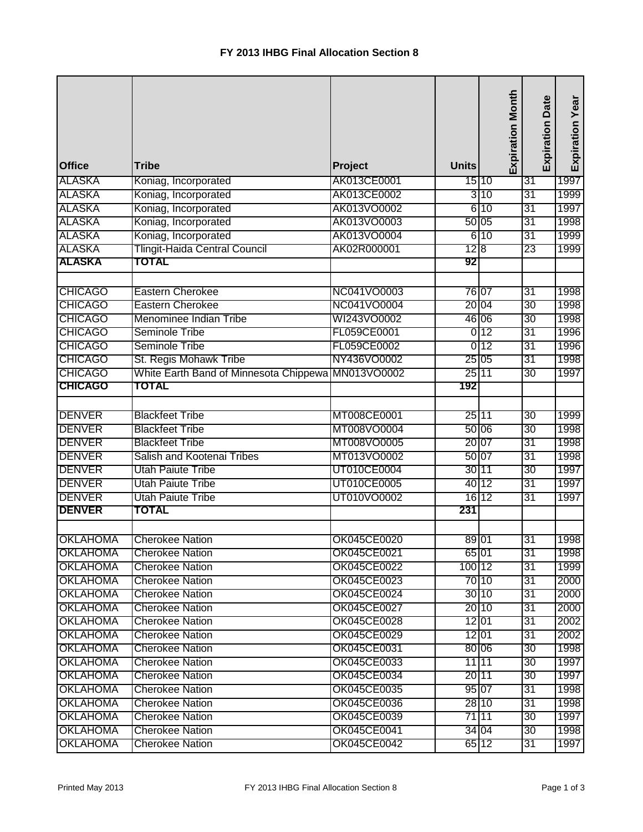| <b>Office</b>   | <b>Tribe</b>                           | Project     | <b>Units</b> | <b>Expiration Month</b> | Date<br>Expiration | Expiration Year |
|-----------------|----------------------------------------|-------------|--------------|-------------------------|--------------------|-----------------|
| <b>ALASKA</b>   | Koniag, Incorporated                   | AK013CE0001 |              | 15 10                   | 31                 | 1997            |
| <b>ALASKA</b>   | Koniag, Incorporated                   | AK013CE0002 |              | 3 10                    | 31                 | 1999            |
| <b>ALASKA</b>   | Koniag, Incorporated                   | AK013VO0002 |              | 610                     | 31                 | 1997            |
| <b>ALASKA</b>   | Koniag, Incorporated                   | AK013VO0003 |              | 50 05                   | 31                 | 1998            |
| <b>ALASKA</b>   | Koniag, Incorporated                   | AK013VO0004 |              | 610                     | 31                 | 1999            |
| <b>ALASKA</b>   | <b>Tlingit-Haida Central Council</b>   | AK02R000001 | 12 8         |                         | 23                 | 1999            |
| <b>ALASKA</b>   | TOTAL                                  |             | 92           |                         |                    |                 |
| <b>CHICAGO</b>  | Eastern Cherokee                       | NC041VO0003 |              | 76 07                   | $\overline{31}$    | 1998            |
| <b>CHICAGO</b>  | <b>Eastern Cherokee</b>                | NC041VO0004 |              | 20 04                   | $\overline{30}$    | 1998            |
| <b>CHICAGO</b>  | Menominee Indian Tribe                 | WI243VO0002 |              | 46 06                   | 30                 | 1998            |
| <b>CHICAGO</b>  | Seminole Tribe                         | FL059CE0001 |              | 0 <sub>12</sub>         | 31                 | 1996            |
| <b>CHICAGO</b>  | <b>Seminole Tribe</b>                  | FL059CE0002 |              | 0 <sub>12</sub>         | 31                 | 1996            |
| <b>CHICAGO</b>  | St. Regis Mohawk Tribe                 | NY436VO0002 |              | 25 05                   | 31                 | 1998            |
| <b>CHICAGO</b>  | White Earth Band of Minnesota Chippewa | MN013VO0002 |              | 25 11                   | 30                 | 1997            |
| <b>CHICAGO</b>  | <b>TOTAL</b>                           |             | 192          |                         |                    |                 |
|                 |                                        |             |              |                         |                    |                 |
| <b>DENVER</b>   | <b>Blackfeet Tribe</b>                 | MT008CE0001 | 25 11        |                         | 30                 | 1999            |
| <b>DENVER</b>   | <b>Blackfeet Tribe</b>                 | MT008VO0004 |              | 50 06                   | 30                 | 1998            |
| <b>DENVER</b>   | <b>Blackfeet Tribe</b>                 | MT008VO0005 |              | 20 07                   | 31                 | 1998            |
| <b>DENVER</b>   | Salish and Kootenai Tribes             | MT013VO0002 |              | 50 07                   | 31                 | 1998            |
| <b>DENVER</b>   | <b>Utah Paiute Tribe</b>               | UT010CE0004 |              | 30 11                   | 30                 | 1997            |
| <b>DENVER</b>   | <b>Utah Paiute Tribe</b>               | UT010CE0005 |              | 40 12                   | 31                 | 1997            |
| <b>DENVER</b>   | <b>Utah Paiute Tribe</b>               | UT010VO0002 |              | 16 12                   | 31                 | 1997            |
| <b>DENVER</b>   | <b>TOTAL</b>                           |             | 231          |                         |                    |                 |
|                 |                                        |             |              |                         |                    |                 |
| <b>OKLAHOMA</b> | <b>Cherokee Nation</b>                 | OK045CE0020 | 89 01        |                         | 31                 | 1998            |
| <b>OKLAHOMA</b> | <b>Cherokee Nation</b>                 | OK045CE0021 |              | 65 01                   | 31                 | 1998            |
| <b>OKLAHOMA</b> | <b>Cherokee Nation</b>                 | OK045CE0022 | 100 12       |                         | 31                 | 1999            |
| <b>OKLAHOMA</b> | <b>Cherokee Nation</b>                 | OK045CE0023 |              | 70 10                   | 31                 | 2000            |
| <b>OKLAHOMA</b> | <b>Cherokee Nation</b>                 | OK045CE0024 |              | 30 10                   | 31                 | 2000            |
| <b>OKLAHOMA</b> | <b>Cherokee Nation</b>                 | OK045CE0027 |              | 20 10                   | 31                 | 2000            |
| <b>OKLAHOMA</b> | <b>Cherokee Nation</b>                 | OK045CE0028 |              | 12 01                   | 31                 | 2002            |
| <b>OKLAHOMA</b> | <b>Cherokee Nation</b>                 | OK045CE0029 |              | 12 01                   | 31                 | 2002            |
| <b>OKLAHOMA</b> | <b>Cherokee Nation</b>                 | OK045CE0031 |              | 80 06                   | 30                 | 1998            |
| <b>OKLAHOMA</b> | <b>Cherokee Nation</b>                 | OK045CE0033 |              | 11 11                   | 30                 | 1997            |
| <b>OKLAHOMA</b> | <b>Cherokee Nation</b>                 | OK045CE0034 |              | 20 11                   | 30                 | 1997            |
| <b>OKLAHOMA</b> | <b>Cherokee Nation</b>                 | OK045CE0035 |              | 95 07                   | 31                 | 1998            |
| <b>OKLAHOMA</b> | <b>Cherokee Nation</b>                 | OK045CE0036 |              | 28 10                   | 31                 | 1998            |
| <b>OKLAHOMA</b> | <b>Cherokee Nation</b>                 | OK045CE0039 |              | 71 11                   | 30                 | 1997            |
| <b>OKLAHOMA</b> | <b>Cherokee Nation</b>                 | OK045CE0041 |              | 34 04                   | 30                 | 1998            |
| <b>OKLAHOMA</b> | <b>Cherokee Nation</b>                 | OK045CE0042 |              | 65 12                   | 31                 | 1997            |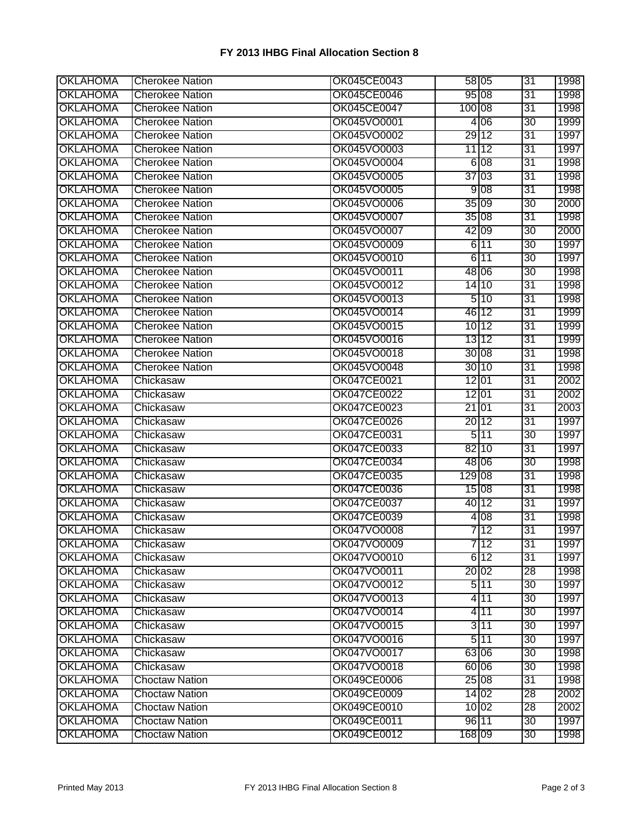## **FY 2013 IHBG Final Allocation Section 8**

| <b>OKLAHOMA</b> | <b>Cherokee Nation</b> | OK045CE0043 |        | 58 05           | 31 | 1998 |
|-----------------|------------------------|-------------|--------|-----------------|----|------|
| <b>OKLAHOMA</b> | <b>Cherokee Nation</b> | OK045CE0046 |        | 95 08           | 31 | 1998 |
| <b>OKLAHOMA</b> | <b>Cherokee Nation</b> | OK045CE0047 | 100 08 |                 | 31 | 1998 |
| <b>OKLAHOMA</b> | <b>Cherokee Nation</b> | OK045VO0001 |        | 4 0 6           | 30 | 1999 |
| <b>OKLAHOMA</b> | <b>Cherokee Nation</b> | OK045VO0002 |        | 29 12           | 31 | 1997 |
| <b>OKLAHOMA</b> | <b>Cherokee Nation</b> | OK045VO0003 |        | 11 12           | 31 | 1997 |
| <b>OKLAHOMA</b> | <b>Cherokee Nation</b> | OK045VO0004 |        | 6 08            | 31 | 1998 |
| <b>OKLAHOMA</b> | <b>Cherokee Nation</b> | OK045VO0005 |        | 37 03           | 31 | 1998 |
| <b>OKLAHOMA</b> | <b>Cherokee Nation</b> | OK045VO0005 |        | 9 <sub>08</sub> | 31 | 1998 |
| <b>OKLAHOMA</b> | <b>Cherokee Nation</b> | OK045VO0006 |        | 35 09           | 30 | 2000 |
| <b>OKLAHOMA</b> | <b>Cherokee Nation</b> | OK045VO0007 |        | 35 08           | 31 | 1998 |
| <b>OKLAHOMA</b> | <b>Cherokee Nation</b> | OK045VO0007 |        | 42 09           | 30 | 2000 |
| <b>OKLAHOMA</b> | <b>Cherokee Nation</b> | OK045VO0009 |        | 6 11            | 30 | 1997 |
| <b>OKLAHOMA</b> | <b>Cherokee Nation</b> | OK045VO0010 |        | 6 11            | 30 | 1997 |
| <b>OKLAHOMA</b> | <b>Cherokee Nation</b> | OK045VO0011 |        | 48 06           | 30 | 1998 |
| <b>OKLAHOMA</b> | <b>Cherokee Nation</b> | OK045VO0012 |        | 14 10           | 31 | 1998 |
| <b>OKLAHOMA</b> | <b>Cherokee Nation</b> | OK045VO0013 |        | 510             | 31 | 1998 |
| <b>OKLAHOMA</b> | <b>Cherokee Nation</b> | OK045VO0014 |        | 46 12           | 31 | 1999 |
| <b>OKLAHOMA</b> | <b>Cherokee Nation</b> | OK045VO0015 |        | 10 12           | 31 | 1999 |
| <b>OKLAHOMA</b> | <b>Cherokee Nation</b> | OK045VO0016 |        | 13112           | 31 | 1999 |
| <b>OKLAHOMA</b> | <b>Cherokee Nation</b> | OK045VO0018 |        | 30 08           | 31 | 1998 |
| <b>OKLAHOMA</b> | <b>Cherokee Nation</b> | OK045VO0048 |        | 3010            | 31 | 1998 |
| <b>OKLAHOMA</b> | Chickasaw              | OK047CE0021 |        | 12 01           | 31 | 2002 |
| <b>OKLAHOMA</b> | Chickasaw              | OK047CE0022 |        | 12 01           | 31 | 2002 |
| <b>OKLAHOMA</b> | Chickasaw              | OK047CE0023 | 21 01  |                 | 31 | 2003 |
| <b>OKLAHOMA</b> | Chickasaw              | OK047CE0026 |        | 20 12           | 31 | 1997 |
| <b>OKLAHOMA</b> | Chickasaw              | OK047CE0031 |        | 511             | 30 | 1997 |
| <b>OKLAHOMA</b> | Chickasaw              | OK047CE0033 |        | 82 10           | 31 | 1997 |
| <b>OKLAHOMA</b> | Chickasaw              | OK047CE0034 |        | 48 06           | 30 | 1998 |
| <b>OKLAHOMA</b> | Chickasaw              | OK047CE0035 | 129 08 |                 | 31 | 1998 |
| <b>OKLAHOMA</b> | Chickasaw              | OK047CE0036 |        | 15 08           | 31 | 1998 |
| <b>OKLAHOMA</b> | Chickasaw              | OK047CE0037 |        | 40 12           | 31 | 1997 |
| <b>OKLAHOMA</b> | Chickasaw              | OK047CE0039 |        | 4 0 8           | 31 | 1998 |
| <b>OKLAHOMA</b> | Chickasaw              | OK047VO0008 |        | 712             | 31 | 1997 |
| <b>OKLAHOMA</b> | Chickasaw              | OK047VO0009 |        | 7 12            | 31 | 1997 |
| <b>OKLAHOMA</b> | Chickasaw              | OK047VO0010 |        | 612             | 31 | 1997 |
| <b>OKLAHOMA</b> | Chickasaw              | OK047VO0011 |        | 20 02           | 28 | 1998 |
| <b>OKLAHOMA</b> | Chickasaw              | OK047VO0012 |        | 511             | 30 | 1997 |
| <b>OKLAHOMA</b> | Chickasaw              | OK047VO0013 |        | 4 11            | 30 | 1997 |
| <b>OKLAHOMA</b> | Chickasaw              | OK047VO0014 |        | 4 11            | 30 | 1997 |
| <b>OKLAHOMA</b> | Chickasaw              | OK047VO0015 |        | 3 11            | 30 | 1997 |
| <b>OKLAHOMA</b> | Chickasaw              | OK047VO0016 |        | 511             | 30 | 1997 |
| <b>OKLAHOMA</b> | Chickasaw              | OK047VO0017 |        | 63 06           | 30 | 1998 |
| <b>OKLAHOMA</b> | Chickasaw              | OK047VO0018 |        | 60 06           | 30 | 1998 |
| <b>OKLAHOMA</b> | <b>Choctaw Nation</b>  | OK049CE0006 |        | 25 08           | 31 | 1998 |
| <b>OKLAHOMA</b> | <b>Choctaw Nation</b>  | OK049CE0009 |        | 14 02           | 28 | 2002 |
| <b>OKLAHOMA</b> | <b>Choctaw Nation</b>  | OK049CE0010 |        | 10 02           | 28 | 2002 |
| <b>OKLAHOMA</b> | <b>Choctaw Nation</b>  | OK049CE0011 |        | 96 11           | 30 | 1997 |
| <b>OKLAHOMA</b> | <b>Choctaw Nation</b>  | OK049CE0012 | 168 09 |                 | 30 | 1998 |